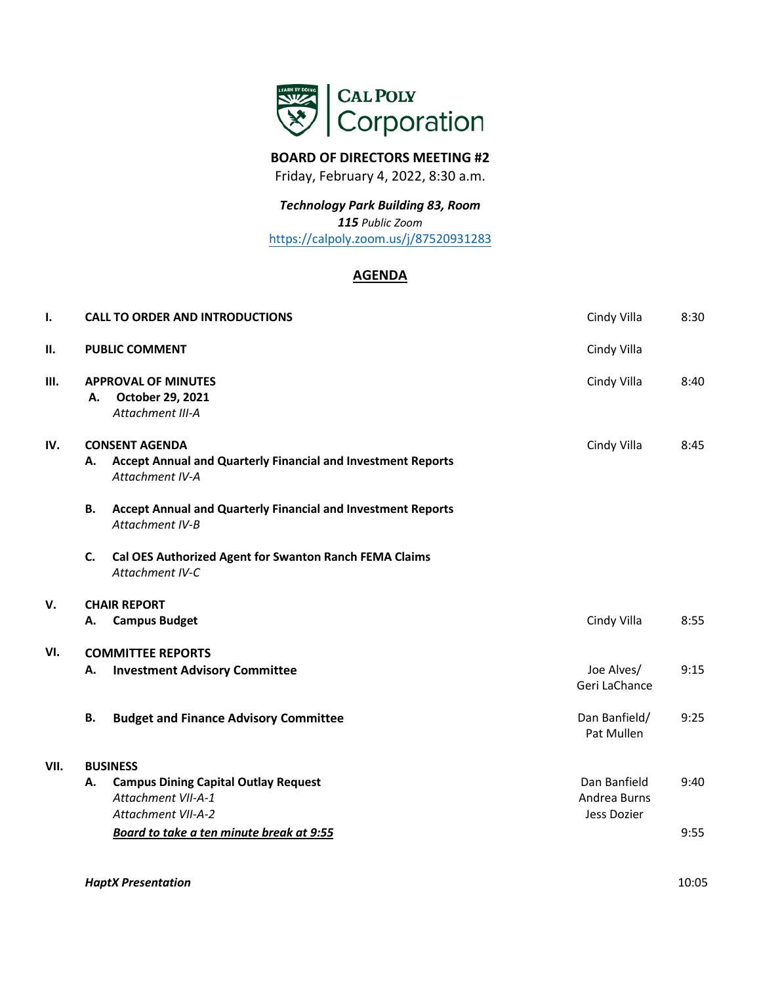

## **BOARD OF DIRECTORS MEETING #2**

Friday, February 4, 2022, 8:30 a.m.

*Technology Park Building 83, Room 115 Public Zoom*  <https://calpoly.zoom.us/j/87520931283>

## **AGENDA**

| Ι.   |                          | <b>CALL TO ORDER AND INTRODUCTIONS</b>                                                  | Cindy Villa                                 | 8:30 |  |  |
|------|--------------------------|-----------------------------------------------------------------------------------------|---------------------------------------------|------|--|--|
| П.   |                          | <b>PUBLIC COMMENT</b>                                                                   | Cindy Villa                                 |      |  |  |
| Ш.   | А.                       | <b>APPROVAL OF MINUTES</b><br>October 29, 2021<br>Attachment III-A                      | Cindy Villa                                 | 8:40 |  |  |
| IV.  | <b>CONSENT AGENDA</b>    |                                                                                         | Cindy Villa                                 | 8:45 |  |  |
|      | А.                       | Accept Annual and Quarterly Financial and Investment Reports<br>Attachment IV-A         |                                             |      |  |  |
|      | В.                       | Accept Annual and Quarterly Financial and Investment Reports<br>Attachment IV-B         |                                             |      |  |  |
|      | C.                       | <b>Cal OES Authorized Agent for Swanton Ranch FEMA Claims</b><br>Attachment IV-C        |                                             |      |  |  |
| V.   | <b>CHAIR REPORT</b>      |                                                                                         |                                             |      |  |  |
|      | А.                       | <b>Campus Budget</b>                                                                    | Cindy Villa                                 | 8:55 |  |  |
| VI.  | <b>COMMITTEE REPORTS</b> |                                                                                         |                                             |      |  |  |
|      | А.                       | <b>Investment Advisory Committee</b>                                                    | Joe Alves/<br>Geri LaChance                 | 9:15 |  |  |
|      | В.                       | <b>Budget and Finance Advisory Committee</b>                                            | Dan Banfield/<br>Pat Mullen                 | 9:25 |  |  |
| VII. | <b>BUSINESS</b>          |                                                                                         |                                             |      |  |  |
|      | А.                       | <b>Campus Dining Capital Outlay Request</b><br>Attachment VII-A-1<br>Attachment VII-A-2 | Dan Banfield<br>Andrea Burns<br>Jess Dozier | 9:40 |  |  |
|      |                          | Board to take a ten minute break at 9:55                                                |                                             | 9:55 |  |  |